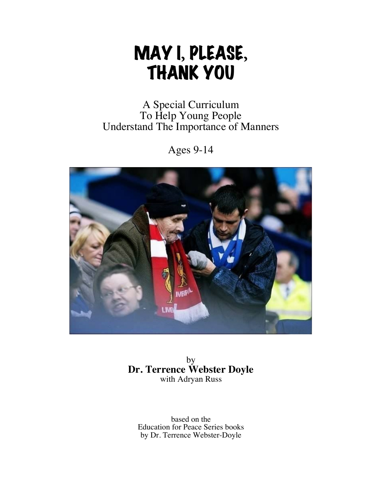# MAY I**,** PLEASE**,** THANK YOU

# A Special Curriculum To Help Young People Understand The Importance of Manners

Ages 9-14



by **Dr. Terrence Webster Doyle** with Adryan Russ

based on the Education for Peace Series books by Dr. Terrence Webster-Doyle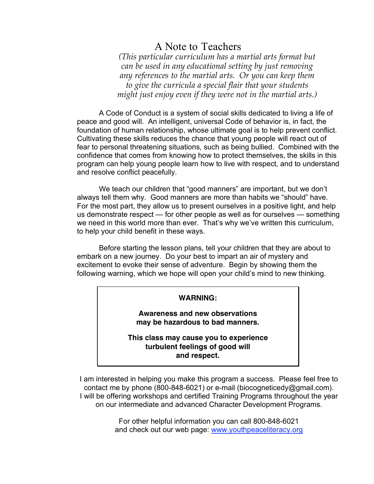# A Note to Teachers

*(This particular curriculum has a martial arts format but can be used in any educational setting by just removing any references to the martial arts. Or you can keep them to give the curricula a special flair that your students might just enjoy even if they were not in the martial arts.)*

A Code of Conduct is a system of social skills dedicated to living a life of peace and good will. An intelligent, universal Code of behavior is, in fact, the foundation of human relationship, whose ultimate goal is to help prevent conflict. Cultivating these skills reduces the chance that young people will react out of fear to personal threatening situations, such as being bullied. Combined with the confidence that comes from knowing how to protect themselves, the skills in this program can help young people learn how to live with respect, and to understand and resolve conflict peacefully.

We teach our children that "good manners" are important, but we don't always tell them why. Good manners are more than habits we "should" have. For the most part, they allow us to present ourselves in a positive light, and help us demonstrate respect — for other people as well as for ourselves — something we need in this world more than ever. That's why we've written this curriculum, to help your child benefit in these ways.

Before starting the lesson plans, tell your children that they are about to embark on a new journey. Do your best to impart an air of mystery and excitement to evoke their sense of adventure. Begin by showing them the following warning, which we hope will open your child's mind to new thinking.

#### **WARNING:**

**Awareness and new observations may be hazardous to bad manners.**

**This class may cause you to experience turbulent feelings of good will and respect.**

I am interested in helping you make this program a success. Please feel free to contact me by phone (800-848-6021) or e-mail (biocogneticedy@gmail.com). I will be offering workshops and certified Training Programs throughout the year on our intermediate and advanced Character Development Programs.

> For other helpful information you can call 800-848-6021 and check out our web page: www.youthpeaceliteracy.org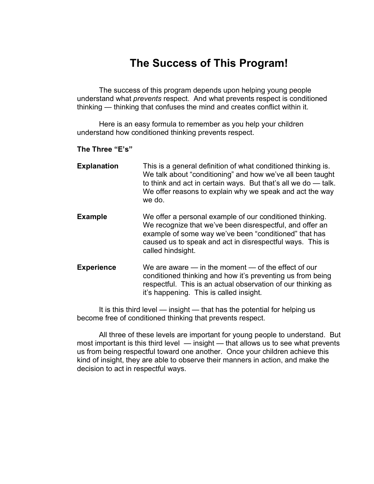# **The Success of This Program!**

The success of this program depends upon helping young people understand what *prevents* respect. And what prevents respect is conditioned thinking — thinking that confuses the mind and creates conflict within it.

Here is an easy formula to remember as you help your children understand how conditioned thinking prevents respect.

#### **The Three "E's"**

| <b>Explanation</b> | This is a general definition of what conditioned thinking is.<br>We talk about "conditioning" and how we've all been taught<br>to think and act in certain ways. But that's all we do — talk.<br>We offer reasons to explain why we speak and act the way<br>we do. |
|--------------------|---------------------------------------------------------------------------------------------------------------------------------------------------------------------------------------------------------------------------------------------------------------------|
|                    |                                                                                                                                                                                                                                                                     |

- **Example** We offer a personal example of our conditioned thinking. We recognize that we've been disrespectful, and offer an example of some way we've been "conditioned" that has caused us to speak and act in disrespectful ways. This is called hindsight.
- **Experience** We are aware in the moment of the effect of our conditioned thinking and how it's preventing us from being respectful. This is an actual observation of our thinking as it's happening. This is called insight.

It is this third level — insight — that has the potential for helping us become free of conditioned thinking that prevents respect.

All three of these levels are important for young people to understand. But most important is this third level — insight — that allows us to see what prevents us from being respectful toward one another. Once your children achieve this kind of insight, they are able to observe their manners in action, and make the decision to act in respectful ways.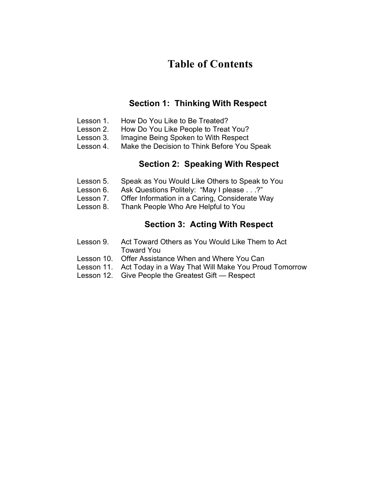# **Table of Contents**

### **Section 1: Thinking With Respect**

- Lesson 1. How Do You Like to Be Treated?
- Lesson 2. How Do You Like People to Treat You?
- Lesson 3. Imagine Being Spoken to With Respect
- Lesson 4. Make the Decision to Think Before You Speak

### **Section 2: Speaking With Respect**

- Lesson 5. Speak as You Would Like Others to Speak to You
- Lesson 6. Ask Questions Politely: "May I please . . .?"
- Lesson 7. Offer Information in a Caring, Considerate Way
- Lesson 8. Thank People Who Are Helpful to You

## **Section 3: Acting With Respect**

- Lesson 9. Act Toward Others as You Would Like Them to Act Toward You
- Lesson 10. Offer Assistance When and Where You Can
- Lesson 11. Act Today in a Way That Will Make You Proud Tomorrow
- Lesson 12. Give People the Greatest Gift Respect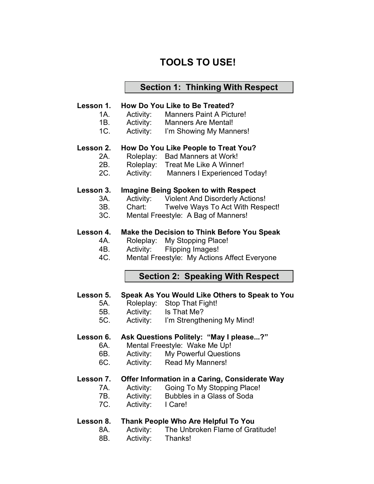# **TOOLS TO USE!**

#### **Section 1: Thinking With Respect**

#### **Lesson 1. How Do You Like to Be Treated?**

- 1A. Activity: Manners Paint A Picture!
- 1B. Activity: Manners Are Mental!
- 1C. Activity: I'm Showing My Manners!

#### **Lesson 2. How Do You Like People to Treat You?**

- 2A. Roleplay: Bad Manners at Work!
- 2B. Roleplay: Treat Me Like A Winner!
- 2C. Activity: Manners I Experienced Today!

#### **Lesson 3. Imagine Being Spoken to with Respect**

- 3A. Activity: Violent And Disorderly Actions!
- 3B. Chart: Twelve Ways To Act With Respect!
- 3C. Mental Freestyle: A Bag of Manners!

#### **Lesson 4. Make the Decision to Think Before You Speak**

- 4A. Roleplay: My Stopping Place!
- 4B. Activity: Flipping Images!
- 4C. Mental Freestyle: My Actions Affect Everyone

#### **Section 2: Speaking With Respect**

#### **Lesson 5. Speak As You Would Like Others to Speak to You**

- 5A. Roleplay: Stop That Fight!
- 5B. Activity: Is That Me?
- 5C. Activity: I'm Strengthening My Mind!

#### **Lesson 6. Ask Questions Politely: "May I please...?"**

- 6A. Mental Freestyle: Wake Me Up!
- 6B. Activity: My Powerful Questions
- 6C. Activity: Read My Manners!

#### **Lesson 7. Offer Information in a Caring, Considerate Way**

- 7A. Activity: Going To My Stopping Place!
- 7B. Activity: Bubbles in a Glass of Soda
- 7C. Activity: I Care!

#### **Lesson 8. Thank People Who Are Helpful To You**

- 8A. Activity: The Unbroken Flame of Gratitude!
- 8B. Activity: Thanks!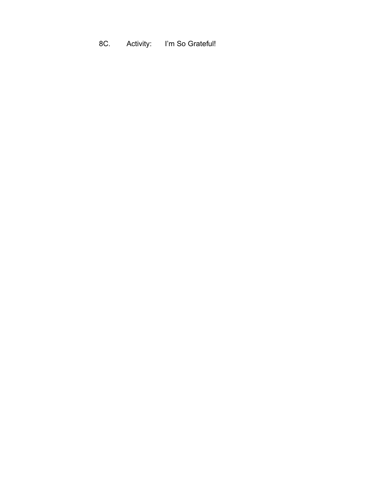8C. Activity: I'm So Grateful!